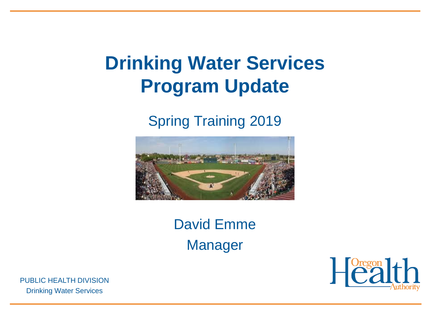#### **Drinking Water Services Program Update**

#### Spring Training 2019



David Emme Manager

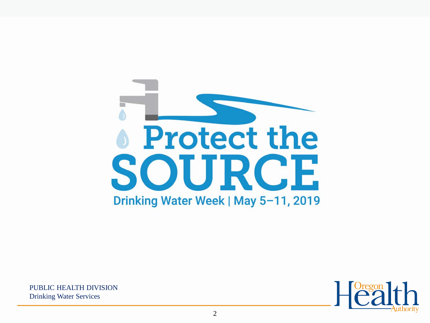

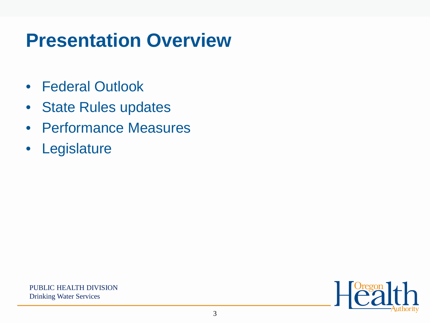#### **Presentation Overview**

- Federal Outlook
- State Rules updates
- Performance Measures
- Legislature

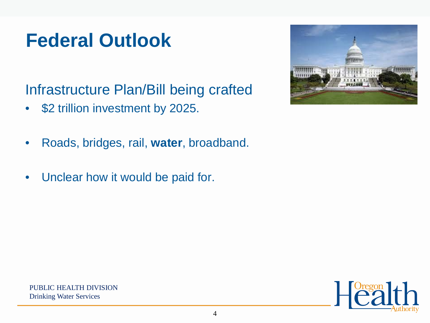Infrastructure Plan/Bill being crafted

- \$2 trillion investment by 2025.
- Roads, bridges, rail, **water**, broadband.
- Unclear how it would be paid for.





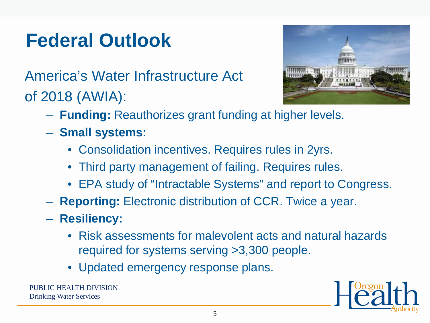America's Water Infrastructure Act of 2018 (AWIA):



- **Funding:** Reauthorizes grant funding at higher levels.
- **Small systems:**
	- Consolidation incentives. Requires rules in 2yrs.
	- Third party management of failing. Requires rules.
	- EPA study of "Intractable Systems" and report to Congress.
- **Reporting:** Electronic distribution of CCR. Twice a year.
- **Resiliency:**
	- Risk assessments for malevolent acts and natural hazards required for systems serving >3,300 people.
	- Updated emergency response plans.

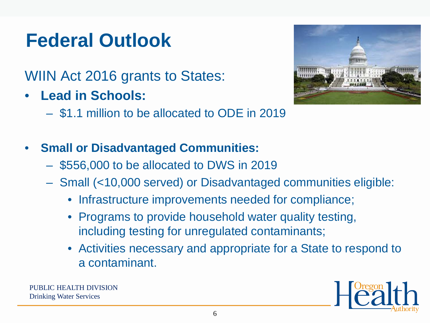WIIN Act 2016 grants to States:

- **Lead in Schools:**
	- \$1.1 million to be allocated to ODE in 2019
- **Small or Disadvantaged Communities:**
	- \$556,000 to be allocated to DWS in 2019
	- Small (<10,000 served) or Disadvantaged communities eligible:
		- Infrastructure improvements needed for compliance;
		- Programs to provide household water quality testing, including testing for unregulated contaminants;
		- Activities necessary and appropriate for a State to respond to a contaminant.

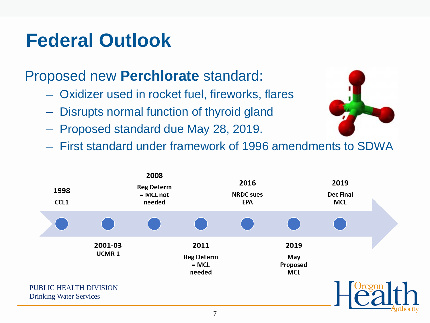#### Proposed new **Perchlorate** standard:

- Oxidizer used in rocket fuel, fireworks, flares
- Disrupts normal function of thyroid gland
- Proposed standard due May 28, 2019.
- First standard under framework of 1996 amendments to SDWA

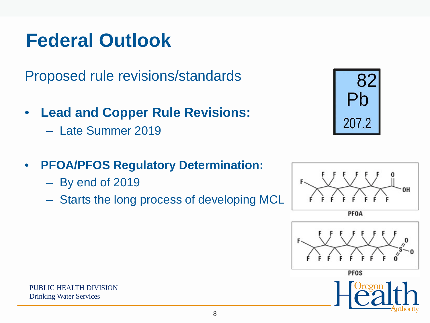Proposed rule revisions/standards

- **Lead and Copper Rule Revisions:**
	- Late Summer 2019
- **PFOA/PFOS Regulatory Determination:**
	- By end of 2019
	- Starts the long process of developing MCL



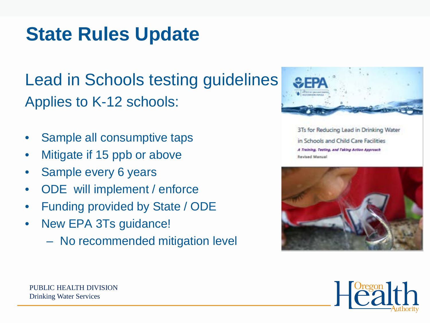#### **State Rules Update**

Lead in Schools testing guidelines Applies to K-12 schools:

- Sample all consumptive taps
- Mitigate if 15 ppb or above
- Sample every 6 years
- ODE will implement / enforce
- Funding provided by State / ODE
- New EPA 3Ts guidance!
	- No recommended mitigation level



3Ts for Reducing Lead in Drinking Water in Schools and Child Care Facilities A Training, Testing, and Taking Action Approach **Revised Manual** 



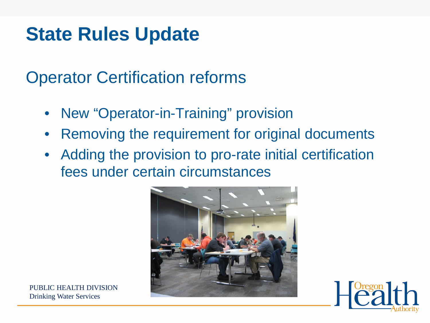#### **State Rules Update**

Operator Certification reforms

- New "Operator-in-Training" provision
- Removing the requirement for original documents
- Adding the provision to pro-rate initial certification fees under certain circumstances



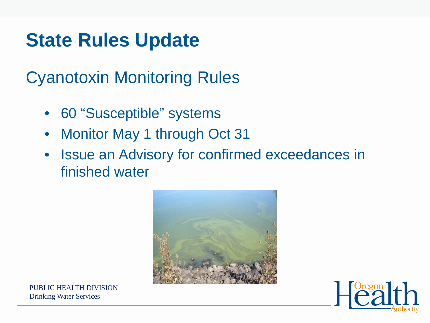#### **State Rules Update**

Cyanotoxin Monitoring Rules

- 60 "Susceptible" systems
- Monitor May 1 through Oct 31
- Issue an Advisory for confirmed exceedances in finished water



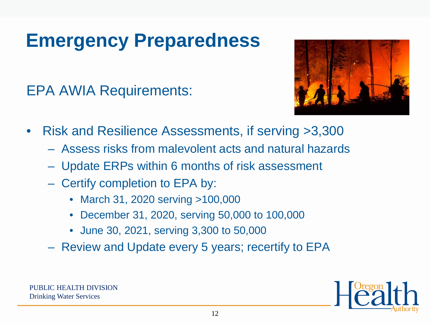## **Emergency Preparedness**

EPA AWIA Requirements:



- Risk and Resilience Assessments, if serving >3,300
	- Assess risks from malevolent acts and natural hazards
	- Update ERPs within 6 months of risk assessment
	- Certify completion to EPA by:
		- March 31, 2020 serving >100,000
		- December 31, 2020, serving 50,000 to 100,000
		- June 30, 2021, serving 3,300 to 50,000
	- Review and Update every 5 years; recertify to EPA

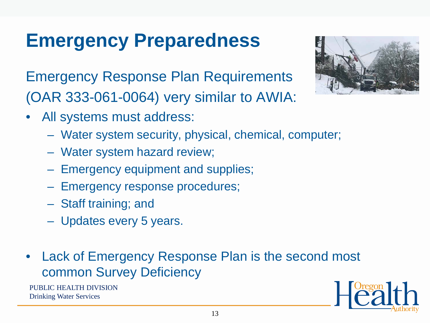### **Emergency Preparedness**

Emergency Response Plan Requirements (OAR 333-061-0064) very similar to AWIA:

- All systems must address:
	- Water system security, physical, chemical, computer;
	- Water system hazard review;
	- Emergency equipment and supplies;
	- Emergency response procedures;
	- Staff training; and
	- Updates every 5 years.
- Lack of Emergency Response Plan is the second most common Survey Deficiency





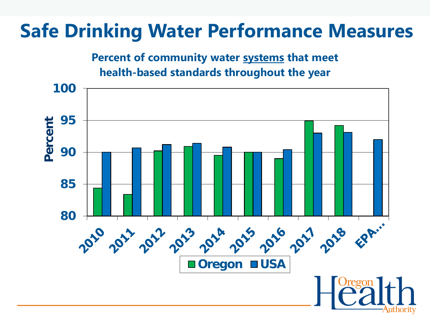#### **Percent of community water systems that meet health-based standards throughout the year**

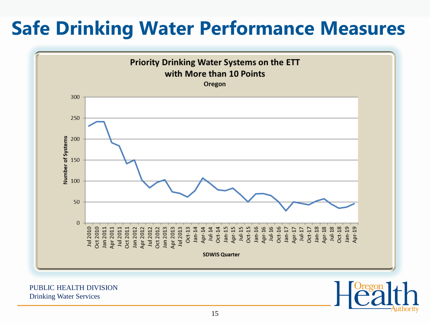

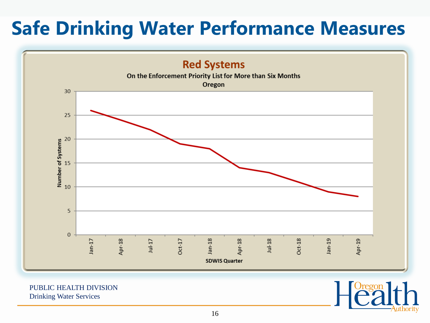

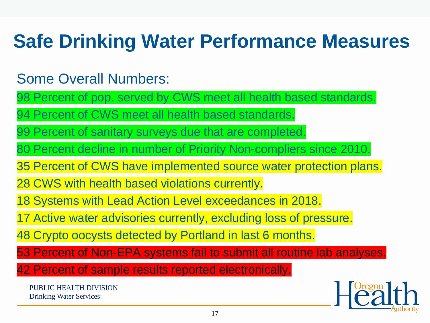#### Some Overall Numbers:

98 Percent of pop. served by CWS meet all health based standards.

94 Percent of CWS meet all health based standards.

99 Percent of sanitary surveys due that are completed.

80 Percent decline in number of Priority Non-compliers since 2010.

35 Percent of CWS have implemented source water protection plans.

28 CWS with health based violations currently.

18 Systems with Lead Action Level exceedances in 2018.

17 Active water advisories currently, excluding loss of pressure.

48 Crypto oocysts detected by Portland in last 6 months.

53 Percent of Non-EPA systems fail to submit all routine lab analyses.

42 Percent of sample results reported electronically.

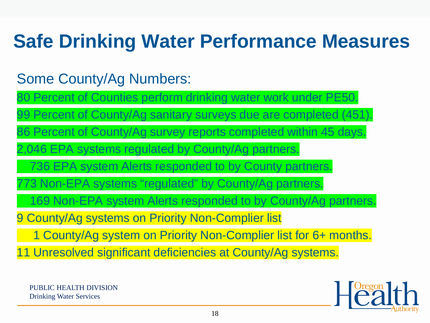#### Some County/Ag Numbers:

80 Percent of Counties perform drinking water work under PE50.

99 Percent of County/Ag sanitary surveys due are completed (451).

86 Percent of County/Ag survey reports completed within 45 days.

046 EPA systems regulated by County/Ag partners.

736 EPA system Alerts responded to by County partners.

3 Non-EPA systems "regulated" by County/Ag partners.

169 Non-EPA system Alerts responded to by County/Ag partners.

9 County/Ag systems on Priority Non-Complier list

1 County/Ag system on Priority Non-Complier list for 6+ months.

11 Unresolved significant deficiencies at County/Ag systems.

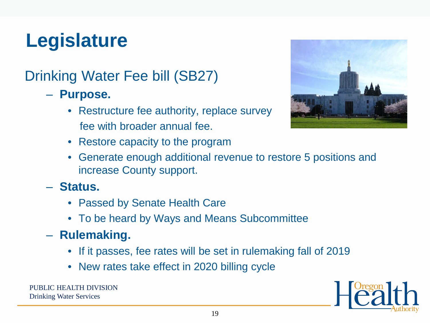# **Legislature**

#### Drinking Water Fee bill (SB27)

- **Purpose.** 
	- Restructure fee authority, replace survey fee with broader annual fee.



- Restore capacity to the program
- Generate enough additional revenue to restore 5 positions and increase County support.
- **Status.** 
	- Passed by Senate Health Care
	- To be heard by Ways and Means Subcommittee
- **Rulemaking.**
	- If it passes, fee rates will be set in rulemaking fall of 2019
	- New rates take effect in 2020 billing cycle

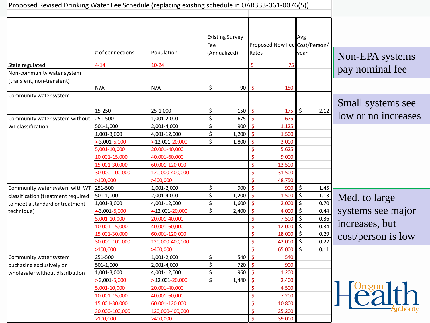| Proposed Revised Drinking Water Fee Schedule (replacing existing schedule in OAR333-061-0076(5)) |                  |                  |                               |       |                               |            |                          |      |                                    |
|--------------------------------------------------------------------------------------------------|------------------|------------------|-------------------------------|-------|-------------------------------|------------|--------------------------|------|------------------------------------|
|                                                                                                  |                  |                  | <b>Existing Survey</b><br>Fee |       | Proposed New Fee Cost/Person/ |            | <b>Avg</b>               |      |                                    |
|                                                                                                  | # of connections | Population       | (Annualized)                  |       | Rates                         |            | year                     |      |                                    |
| State regulated<br>Non-community water system                                                    | $4 - 14$         | $10 - 24$        |                               |       | \$                            | 75         |                          |      | Non-EPA systems<br>pay nominal fee |
| (transient, non-transient)                                                                       |                  |                  |                               |       |                               |            |                          |      |                                    |
| Community water system                                                                           | N/A              | N/A              | \$                            | 90    | $\varsigma$                   | 150        |                          |      |                                    |
|                                                                                                  | 15-250           | 25-1,000         | \$                            | 150   | \$                            | 175        | \$                       | 2.12 | Small systems see                  |
| Community water system without                                                                   | 251-500          | 1,001-2,000      | \$                            | 675   | \$                            | 675        |                          |      | low or no increases                |
| WT classification                                                                                | 501-1,000        | 2,001-4,000      | \$                            | 900   |                               | 1,125      |                          |      |                                    |
|                                                                                                  | 1,001-3,000      | 4,001-12,000     | \$                            | 1,200 |                               | 1,500      |                          |      |                                    |
|                                                                                                  | $-3,001 - 5,000$ | $-12,001-20,000$ | \$                            | 1,800 | $\ddot{\mathsf{S}}$           | 3,000      |                          |      |                                    |
|                                                                                                  | 5,001-10,000     | 20,001-40,000    |                               |       |                               | 5,625      |                          |      |                                    |
|                                                                                                  | 10,001-15,000    | 40,001-60,000    |                               |       | \$                            | 9,000      |                          |      |                                    |
|                                                                                                  | 15,001-30,000    | 60,001-120,000   |                               |       | \$                            | 13,500     |                          |      |                                    |
|                                                                                                  | 30,000-100,000   | 120,000-400,000  |                               |       | \$                            | 31,500     |                          |      |                                    |
|                                                                                                  | >100,000         | >400,000         |                               |       | Ś                             | 48,750     |                          |      |                                    |
| Community water system with WT                                                                   | 251-500          | 1,001-2,000      | \$                            | 900   | \$                            | 900        | 5 ا                      | 1.45 |                                    |
| classification (treatment required                                                               | 501-1,000        | 2,001-4,000      | \$                            | 1,200 | \$                            | $1,500$ \$ |                          | 1.13 | Med. to large                      |
| to meet a standard or treatment                                                                  | 1,001-3,000      | 4,001-12,000     | \$                            | 1,600 |                               | 2,000      | $\zeta$                  | 0.70 |                                    |
| technique)                                                                                       | $-3,001 - 5,000$ | $-12,001-20,000$ | \$                            | 2,400 |                               | 4,000      | $\ddot{\mathsf{S}}$      | 0.44 | systems see major                  |
|                                                                                                  | 5,001-10,000     | 20,001-40,000    |                               |       | Ś                             | 7,500      | \$                       | 0.36 |                                    |
|                                                                                                  | 10,001-15,000    | 40,001-60,000    |                               |       | \$                            | 12,000     | $\zeta$                  | 0.34 | increases, but                     |
|                                                                                                  | 15,001-30,000    | 60,001-120,000   |                               |       | \$                            | 18,000     | $\zeta$                  | 0.29 | cost/person is low                 |
|                                                                                                  | 30,000-100,000   | 120,000-400,000  |                               |       | \$                            | 42,000     | $\overline{\phantom{a}}$ | 0.22 |                                    |
|                                                                                                  | >100,000         | >400,000         |                               |       | $\mathsf{\hat{S}}$            | 65,000     | $\zeta$                  | 0.11 |                                    |
| Community water system                                                                           | 251-500          | 1,001-2,000      | \$                            | 540   |                               | 540        |                          |      |                                    |
| puchasing exclusively or                                                                         | 501-1,000        | 2,001-4,000      | \$                            | 720   | S                             | 900        |                          |      |                                    |
| wholesaler without distribution                                                                  | 1,001-3,000      | 4,001-12,000     | \$                            | 960   | -\$                           | 1,200      |                          |      |                                    |
|                                                                                                  | $-3,001 - 5,000$ | $-12,001-20,000$ | $\zeta$                       | 1,440 | Š.                            | 2,400      |                          |      |                                    |
|                                                                                                  | 5,001-10,000     | 20,001-40,000    |                               |       | \$                            | 4,500      |                          |      |                                    |
|                                                                                                  | 10,001-15,000    | 40,001-60,000    |                               |       | \$                            | 7,200      |                          |      | H <sup>Organ</sup>                 |
|                                                                                                  | 15,001-30,000    | 60,001-120,000   |                               |       | $\ddot{\varsigma}$            | 10,800     |                          |      |                                    |
|                                                                                                  | 30,000-100,000   | 120,000-400,000  |                               |       | \$                            | 25,200     |                          |      |                                    |
|                                                                                                  | >100,000         | >400,000         |                               |       | \$                            | 39,000     |                          |      |                                    |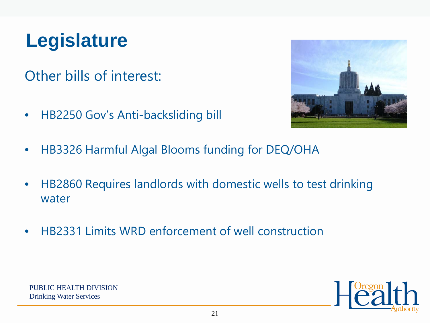## **Legislature**

Other bills of interest:

• HB2250 Gov's Anti-backsliding bill



- HB3326 Harmful Algal Blooms funding for DEQ/OHA
- HB2860 Requires landlords with domestic wells to test drinking water
- HB2331 Limits WRD enforcement of well construction